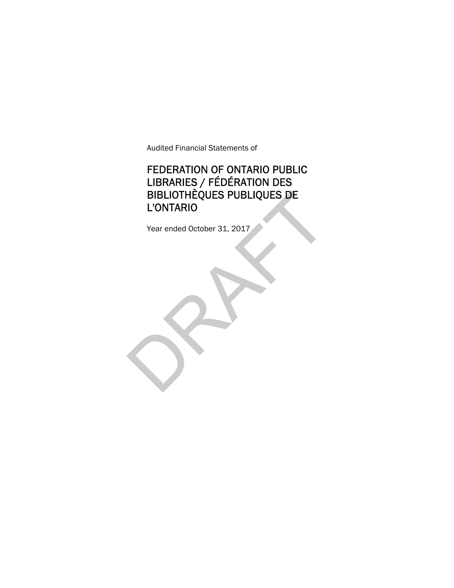Audited Financial Statements of

# FEDERATION OF ONTARIO PUBLIC LIBRARIES / FÉDÉRATION DES BIBLIOTHÈQUES PUBLIQUES DE L'ONTARIO

Year ended October 31, 2017

BIBLIOTHÉQUES PUBLIQUES DE<br>L'ONTARIO<br>Year ended October 31, 2017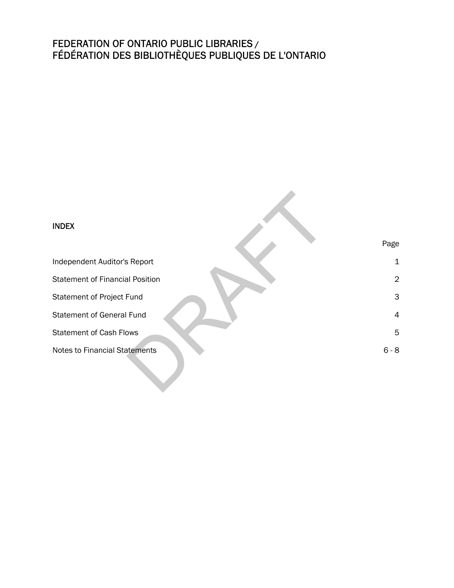| <b>INDEX</b>                           |                |
|----------------------------------------|----------------|
|                                        | Page           |
| Independent Auditor's Report           | $\mathbf 1$    |
| <b>Statement of Financial Position</b> | $\overline{2}$ |
| Statement of Project Fund              | $\mathbf{3}$   |
| <b>Statement of General Fund</b>       | $\overline{4}$ |
| <b>Statement of Cash Flows</b>         | 5              |
| <b>Notes to Financial Statements</b>   | $6 - 8$        |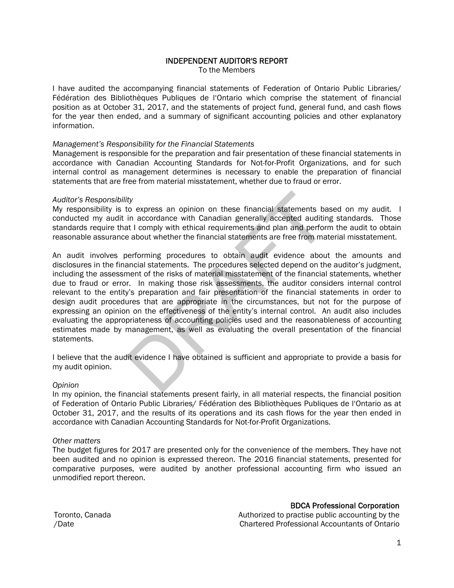### INDEPENDENT AUDITOR'S REPORT

To the Members

I have audited the accompanying financial statements of Federation of Ontario Public Libraries/ Fédération des Bibliothèques Publiques de l'Ontario which comprise the statement of financial position as at October 31, 2017, and the statements of project fund, general fund, and cash flows for the year then ended, and a summary of significant accounting policies and other explanatory information.

#### *Management's Responsibility for the Financial Statements*

Management is responsible for the preparation and fair presentation of these financial statements in accordance with Canadian Accounting Standards for Not-for-Profit Organizations, and for such internal control as management determines is necessary to enable the preparation of financial statements that are free from material misstatement, whether due to fraud or error.

#### *Auditor's Responsibility*

My responsibility is to express an opinion on these financial statements based on my audit. I conducted my audit in accordance with Canadian generally accepted auditing standards. Those standards require that I comply with ethical requirements and plan and perform the audit to obtain reasonable assurance about whether the financial statements are free from material misstatement.

An audit involves performing procedures to obtain audit evidence about the amounts and disclosures in the financial statements. The procedures selected depend on the auditor's judgment, including the assessment of the risks of material misstatement of the financial statements, whether due to fraud or error. In making those risk assessments, the auditor considers internal control relevant to the entity's preparation and fair presentation of the financial statements in order to design audit procedures that are appropriate in the circumstances, but not for the purpose of expressing an opinion on the effectiveness of the entity's internal control. An audit also includes evaluating the appropriateness of accounting policies used and the reasonableness of accounting estimates made by management, as well as evaluating the overall presentation of the financial statements. ity<br>tity<br>to express an opinion on these financial statements ba<br>in accordance with Canadian generally accepted auditin<br>at I comply with ethical requirements and plan and perform<br>a bout whether the financial statements are

I believe that the audit evidence I have obtained is sufficient and appropriate to provide a basis for my audit opinion.

#### *Opinion*

In my opinion, the financial statements present fairly, in all material respects, the financial position of Federation of Ontario Public Libraries/ Fédération des Bibliothèques Publiques de l'Ontario as at October 31, 2017, and the results of its operations and its cash flows for the year then ended in accordance with Canadian Accounting Standards for Not-for-Profit Organizations.

#### *Other matters*

The budget figures for 2017 are presented only for the convenience of the members. They have not been audited and no opinion is expressed thereon. The 2016 financial statements, presented for comparative purposes, were audited by another professional accounting firm who issued an unmodified report thereon.

BDCA Professional Corporation Toronto, Canada **Authorized to practise public accounting by the** Authorized to practise public accounting by the /Date Chartered Professional Accountants of Ontario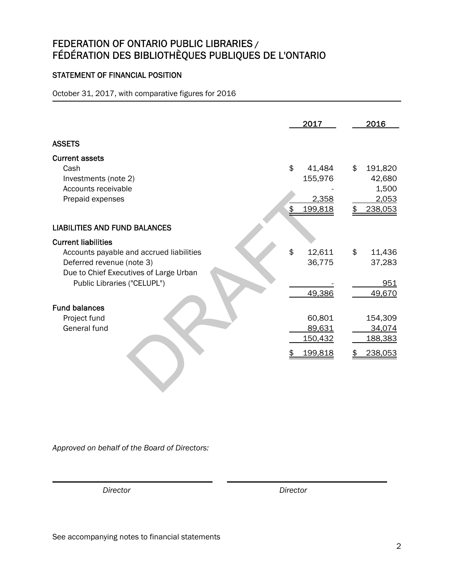### STATEMENT OF FINANCIAL POSITION

October 31, 2017, with comparative figures for 2016

|                                          | 2017                 | 2016           |
|------------------------------------------|----------------------|----------------|
| <b>ASSETS</b>                            |                      |                |
| <b>Current assets</b>                    |                      |                |
| Cash                                     | \$<br>41,484         | \$<br>191,820  |
| Investments (note 2)                     | 155,976              | 42,680         |
| Accounts receivable                      |                      | 1,500          |
| Prepaid expenses                         | 2,358                | 2,053          |
|                                          | \$<br><u>199,818</u> | 238,053        |
| <b>LIABILITIES AND FUND BALANCES</b>     |                      |                |
| <b>Current liabilities</b>               |                      |                |
| Accounts payable and accrued liabilities | \$<br>12,611         | \$<br>11,436   |
| Deferred revenue (note 3)                | 36,775               | 37,283         |
| Due to Chief Executives of Large Urban   |                      |                |
| Public Libraries ("CELUPL")              |                      | 951            |
|                                          | 49,386               | 49,670         |
| <b>Fund balances</b>                     |                      |                |
| Project fund                             | 60,801               | 154,309        |
| General fund                             | 89,631               | 34,074         |
|                                          | 150,432              | <u>188,383</u> |
|                                          | <u>199,818</u>       | 238,053        |
|                                          |                      |                |

j.

*Approved on behalf of the Board of Directors:*

*Director Director*

See accompanying notes to financial statements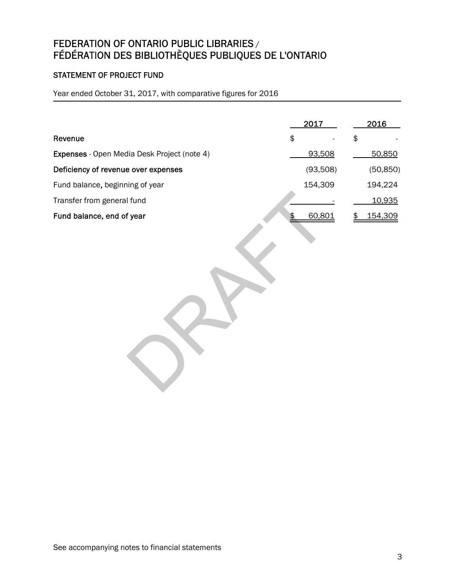### STATEMENT OF PROJECT FUND

Year ended October 31, 2017, with comparative figures for 2016

|                                             | 2017      | 2016      |
|---------------------------------------------|-----------|-----------|
| Revenue                                     | \$        | \$        |
| Expenses - Open Media Desk Project (note 4) | 93,508    | 50,850    |
| Deficiency of revenue over expenses         | (93, 508) | (50, 850) |
| Fund balance, beginning of year             | 154,309   | 194,224   |
| Transfer from general fund                  |           | 10,935    |
| Fund balance, end of year                   | 60,801    | 154,309   |
|                                             |           |           |

See accompanying notes to financial statements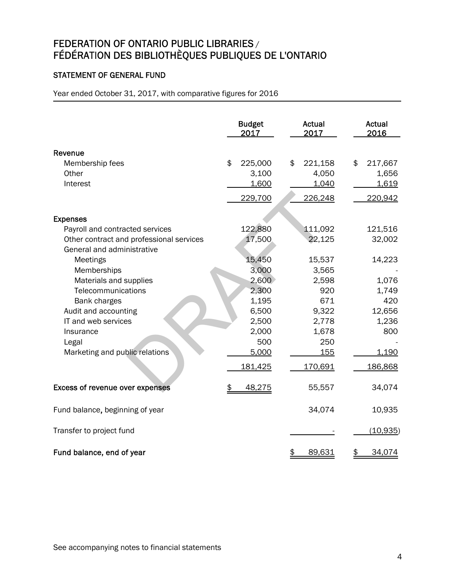### STATEMENT OF GENERAL FUND

Year ended October 31, 2017, with comparative figures for 2016

|                                          | <b>Budget</b><br>2017 | <b>Actual</b><br>2017 | Actual<br>2016 |
|------------------------------------------|-----------------------|-----------------------|----------------|
| Revenue                                  |                       |                       |                |
| Membership fees                          | \$<br>225,000         | \$<br>221,158         | \$<br>217,667  |
| Other                                    | 3,100                 | 4,050                 | 1,656          |
| Interest                                 | 1,600                 | 1,040                 | 1,619          |
|                                          | 229,700               | 226,248               | 220,942        |
| <b>Expenses</b>                          |                       |                       |                |
| Payroll and contracted services          | 122,880               | 111,092               | 121,516        |
| Other contract and professional services | 17,500                | 22,125                | 32,002         |
| General and administrative               |                       |                       |                |
| Meetings                                 | 15,450                | 15,537                | 14,223         |
| Memberships                              | 3,000                 | 3,565                 |                |
| Materials and supplies                   | 2,600                 | 2,598                 | 1,076          |
| Telecommunications                       | 2,300                 | 920                   | 1,749          |
| Bank charges                             | 1,195                 | 671                   | 420            |
| Audit and accounting                     | 6,500                 | 9,322                 | 12,656         |
| IT and web services                      | 2,500                 | 2,778                 | 1,236          |
| Insurance                                | 2,000                 | 1,678                 | 800            |
| Legal                                    | 500                   | 250                   |                |
| Marketing and public relations           | 5,000                 | 155                   | 1,190          |
|                                          | 181,425               | 170,691               | 186,868        |
| Excess of revenue over expenses          | 48,275<br>\$          | 55,557                | 34,074         |
| Fund balance, beginning of year          |                       | 34,074                | 10,935         |
| Transfer to project fund                 |                       |                       | (10, 935)      |
| Fund balance, end of year                |                       | 89,631<br>\$          | \$<br>34,074   |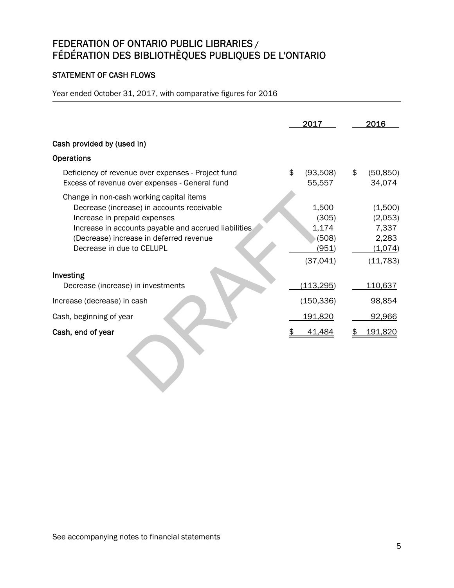### STATEMENT OF CASH FLOWS

Year ended October 31, 2017, with comparative figures for 2016

|                                                                                                                                                                                                                                                         | 2017                                                   | 2016                                                         |
|---------------------------------------------------------------------------------------------------------------------------------------------------------------------------------------------------------------------------------------------------------|--------------------------------------------------------|--------------------------------------------------------------|
| Cash provided by (used in)                                                                                                                                                                                                                              |                                                        |                                                              |
| <b>Operations</b>                                                                                                                                                                                                                                       |                                                        |                                                              |
| Deficiency of revenue over expenses - Project fund<br>Excess of revenue over expenses - General fund                                                                                                                                                    | \$<br>(93,508)<br>55,557                               | (50, 850)<br>\$<br>34,074                                    |
| Change in non-cash working capital items<br>Decrease (increase) in accounts receivable<br>Increase in prepaid expenses<br>Increase in accounts payable and accrued liabilities.<br>(Decrease) increase in deferred revenue<br>Decrease in due to CELUPL | 1,500<br>(305)<br>1,174<br>(508)<br>(951)<br>(37, 041) | (1,500)<br>(2,053)<br>7,337<br>2,283<br>(1,074)<br>(11, 783) |
| Investing<br>Decrease (increase) in investments                                                                                                                                                                                                         | (113, 295)                                             | <u>110,637</u>                                               |
| Increase (decrease) in cash                                                                                                                                                                                                                             | (150, 336)                                             | 98,854                                                       |
| Cash, beginning of year                                                                                                                                                                                                                                 | 191,820                                                | 92,966                                                       |
| Cash, end of year                                                                                                                                                                                                                                       | 41,484                                                 | 191,820                                                      |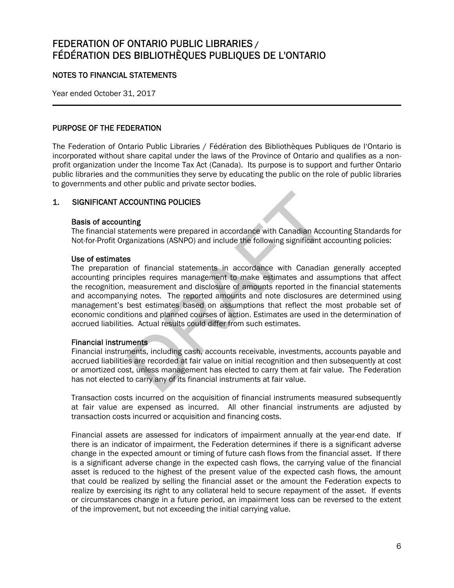#### NOTES TO FINANCIAL STATEMENTS

Year ended October 31, 2017

#### PURPOSE OF THE FEDERATION

The Federation of Ontario Public Libraries / Fédération des Bibliothèques Publiques de l'Ontario is incorporated without share capital under the laws of the Province of Ontario and qualifies as a nonprofit organization under the Income Tax Act (Canada). Its purpose is to support and further Ontario public libraries and the communities they serve by educating the public on the role of public libraries to governments and other public and private sector bodies.

#### 1. SIGNIFICANT ACCOUNTING POLICIES

#### Basis of accounting

The financial statements were prepared in accordance with Canadian Accounting Standards for Not-for-Profit Organizations (ASNPO) and include the following significant accounting policies:

#### Use of estimates

The preparation of financial statements in accordance with Canadian generally accepted accounting principles requires management to make estimates and assumptions that affect the recognition, measurement and disclosure of amounts reported in the financial statements and accompanying notes. The reported amounts and note disclosures are determined using management's best estimates based on assumptions that reflect the most probable set of economic conditions and planned courses of action. Estimates are used in the determination of accrued liabilities. Actual results could differ from such estimates. CCOUNTING POLICIES<br>
iting<br>
iterments were prepared in accordance with Canadian Acce<br>
ganizations (ASNPO) and include the following significant a<br>
s<br>
in of financial statements in accordance with Canadian<br>
ciples requires m

#### Financial instruments

Financial instruments, including cash, accounts receivable, investments, accounts payable and accrued liabilities are recorded at fair value on initial recognition and then subsequently at cost or amortized cost, unless management has elected to carry them at fair value. The Federation has not elected to carry any of its financial instruments at fair value.

Transaction costs incurred on the acquisition of financial instruments measured subsequently at fair value are expensed as incurred. All other financial instruments are adjusted by transaction costs incurred or acquisition and financing costs.

Financial assets are assessed for indicators of impairment annually at the year-end date. If there is an indicator of impairment, the Federation determines if there is a significant adverse change in the expected amount or timing of future cash flows from the financial asset. If there is a significant adverse change in the expected cash flows, the carrying value of the financial asset is reduced to the highest of the present value of the expected cash flows, the amount that could be realized by selling the financial asset or the amount the Federation expects to realize by exercising its right to any collateral held to secure repayment of the asset. If events or circumstances change in a future period, an impairment loss can be reversed to the extent of the improvement, but not exceeding the initial carrying value.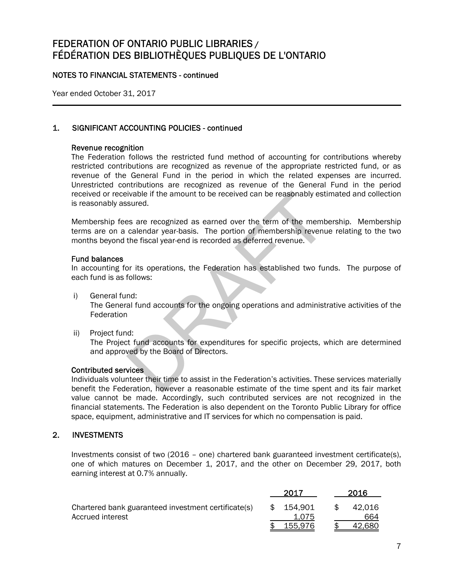#### NOTES TO FINANCIAL STATEMENTS - continued

Year ended October 31, 2017

#### 1. SIGNIFICANT ACCOUNTING POLICIES - continued

#### Revenue recognition

The Federation follows the restricted fund method of accounting for contributions whereby restricted contributions are recognized as revenue of the appropriate restricted fund, or as revenue of the General Fund in the period in which the related expenses are incurred. Unrestricted contributions are recognized as revenue of the General Fund in the period received or receivable if the amount to be received can be reasonably estimated and collection is reasonably assured.

Membership fees are recognized as earned over the term of the membership. Membership terms are on a calendar year-basis. The portion of membership revenue relating to the two months beyond the fiscal year-end is recorded as deferred revenue.

#### Fund balances

In accounting for its operations, the Federation has established two funds. The purpose of each fund is as follows:

- i) General fund: The General fund accounts for the ongoing operations and administrative activities of the Federation ivable if the amount to be received can be reasonably esti<br>sured.<br>
Ses are recognized as earned over the term of the memb<br>
calendar year-basis. The portion of membership revenu<br>
the fiscal year-end is recorded as deferred
- ii) Project fund:

The Project fund accounts for expenditures for specific projects, which are determined and approved by the Board of Directors.

#### Contributed services

Individuals volunteer their time to assist in the Federation's activities. These services materially benefit the Federation, however a reasonable estimate of the time spent and its fair market value cannot be made. Accordingly, such contributed services are not recognized in the financial statements. The Federation is also dependent on the Toronto Public Library for office space, equipment, administrative and IT services for which no compensation is paid.

#### 2. INVESTMENTS

Investments consist of two (2016 – one) chartered bank guaranteed investment certificate(s), one of which matures on December 1, 2017, and the other on December 29, 2017, both earning interest at 0.7% annually.

|                                                     | 2017    | 2016   |
|-----------------------------------------------------|---------|--------|
| Chartered bank guaranteed investment certificate(s) | 154.901 | 42.016 |
| Accrued interest                                    | 1.075   | 664    |
|                                                     | 155,976 | 42.680 |